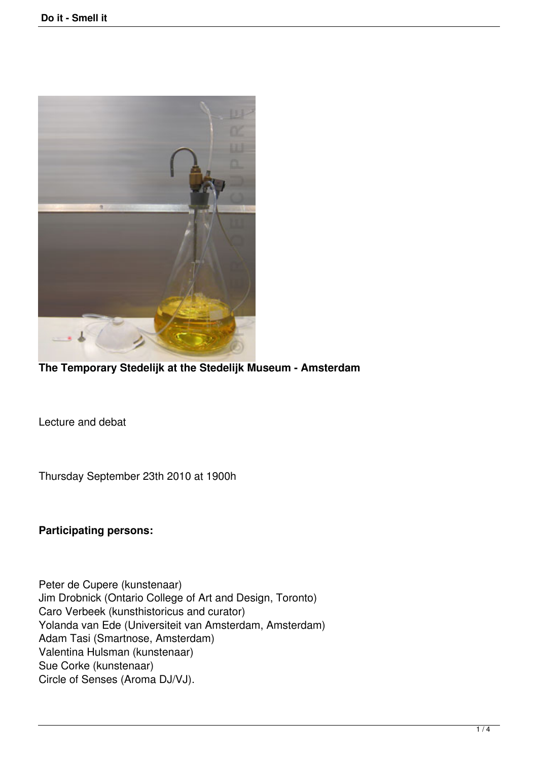

**The Temporary Stedelijk at the Stedelijk Museum - Amsterdam**

Lecture and debat

Thursday September 23th 2010 at 1900h

**Participating persons:**

Peter de Cupere (kunstenaar) Jim Drobnick (Ontario College of Art and Design, Toronto) Caro Verbeek (kunsthistoricus and curator) Yolanda van Ede (Universiteit van Amsterdam, Amsterdam) Adam Tasi (Smartnose, Amsterdam) Valentina Hulsman (kunstenaar) Sue Corke (kunstenaar) Circle of Senses (Aroma DJ/VJ).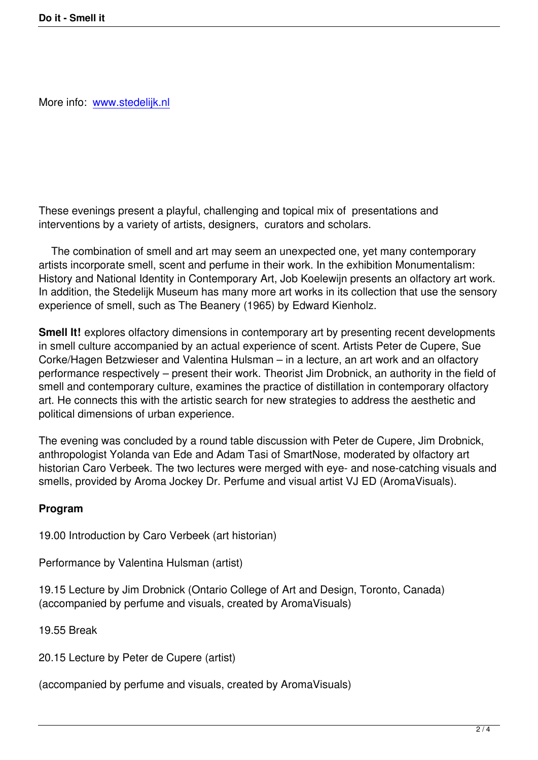These evenings present a playful, challenging and topical mix of presentations and interventions by a variety of artists, designers, curators and scholars.

 The combination of smell and art may seem an unexpected one, yet many contemporary artists incorporate smell, scent and perfume in their work. In the exhibition Monumentalism: History and National Identity in Contemporary Art, Job Koelewijn presents an olfactory art work. In addition, the Stedelijk Museum has many more art works in its collection that use the sensory experience of smell, such as The Beanery (1965) by Edward Kienholz.

**Smell It!** explores olfactory dimensions in contemporary art by presenting recent developments in smell culture accompanied by an actual experience of scent. Artists Peter de Cupere, Sue Corke/Hagen Betzwieser and Valentina Hulsman – in a lecture, an art work and an olfactory performance respectively – present their work. Theorist Jim Drobnick, an authority in the field of smell and contemporary culture, examines the practice of distillation in contemporary olfactory art. He connects this with the artistic search for new strategies to address the aesthetic and political dimensions of urban experience.

The evening was concluded by a round table discussion with Peter de Cupere, Jim Drobnick, anthropologist Yolanda van Ede and Adam Tasi of SmartNose, moderated by olfactory art historian Caro Verbeek. The two lectures were merged with eye- and nose-catching visuals and smells, provided by Aroma Jockey Dr. Perfume and visual artist VJ ED (AromaVisuals).

## **Program**

19.00 Introduction by Caro Verbeek (art historian)

Performance by Valentina Hulsman (artist)

19.15 Lecture by Jim Drobnick (Ontario College of Art and Design, Toronto, Canada) (accompanied by perfume and visuals, created by AromaVisuals)

19.55 Break

20.15 Lecture by Peter de Cupere (artist)

(accompanied by perfume and visuals, created by AromaVisuals)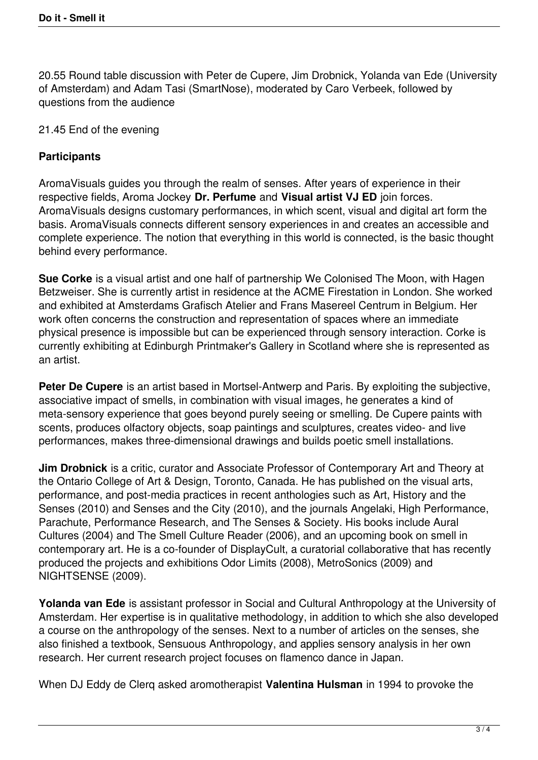20.55 Round table discussion with Peter de Cupere, Jim Drobnick, Yolanda van Ede (University of Amsterdam) and Adam Tasi (SmartNose), moderated by Caro Verbeek, followed by questions from the audience

21.45 End of the evening

## **Participants**

AromaVisuals guides you through the realm of senses. After years of experience in their respective fields, Aroma Jockey **Dr. Perfume** and **Visual artist VJ ED** join forces. AromaVisuals designs customary performances, in which scent, visual and digital art form the basis. AromaVisuals connects different sensory experiences in and creates an accessible and complete experience. The notion that everything in this world is connected, is the basic thought behind every performance.

**Sue Corke** is a visual artist and one half of partnership We Colonised The Moon, with Hagen Betzweiser. She is currently artist in residence at the ACME Firestation in London. She worked and exhibited at Amsterdams Grafisch Atelier and Frans Masereel Centrum in Belgium. Her work often concerns the construction and representation of spaces where an immediate physical presence is impossible but can be experienced through sensory interaction. Corke is currently exhibiting at Edinburgh Printmaker's Gallery in Scotland where she is represented as an artist.

**Peter De Cupere** is an artist based in Mortsel-Antwerp and Paris. By exploiting the subjective, associative impact of smells, in combination with visual images, he generates a kind of meta-sensory experience that goes beyond purely seeing or smelling. De Cupere paints with scents, produces olfactory objects, soap paintings and sculptures, creates video- and live performances, makes three-dimensional drawings and builds poetic smell installations.

**Jim Drobnick** is a critic, curator and Associate Professor of Contemporary Art and Theory at the Ontario College of Art & Design, Toronto, Canada. He has published on the visual arts, performance, and post-media practices in recent anthologies such as Art, History and the Senses (2010) and Senses and the City (2010), and the journals Angelaki, High Performance, Parachute, Performance Research, and The Senses & Society. His books include Aural Cultures (2004) and The Smell Culture Reader (2006), and an upcoming book on smell in contemporary art. He is a co-founder of DisplayCult, a curatorial collaborative that has recently produced the projects and exhibitions Odor Limits (2008), MetroSonics (2009) and NIGHTSENSE (2009).

**Yolanda van Ede** is assistant professor in Social and Cultural Anthropology at the University of Amsterdam. Her expertise is in qualitative methodology, in addition to which she also developed a course on the anthropology of the senses. Next to a number of articles on the senses, she also finished a textbook, Sensuous Anthropology, and applies sensory analysis in her own research. Her current research project focuses on flamenco dance in Japan.

When DJ Eddy de Clerq asked aromotherapist **Valentina Hulsman** in 1994 to provoke the